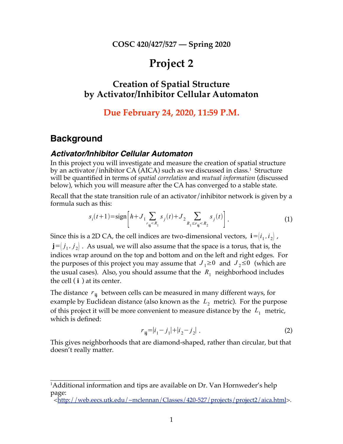**COSC 420/427/527 — Spring 2020**

# **Project 2**

## **Creation of Spatial Structure by Activator/Inhibitor Cellular Automaton**

### **Due February 24, 2020, 11:59 P.M.**

### **Background**

#### *Activator/Inhibitor Cellular Automaton*

In this project you will investigate and measure the creation of spatial structure by an activator/inhibitor CA (AICA) such as we discussed in class. $^1$  Structure will be quantified in terms of *spatial correlation* and *mutual information* (discussed below), which you will measure after the CA has converged to a stable state.

Recall that the state transition rule of an activator/inhibitor network is given by a formula such as this:

$$
s_i(t+1) = \text{sign}\left[h + J_1 \sum_{r_{ij} < R_1} s_j(t) + J_2 \sum_{R_1 \le r_{ij} < R_2} s_j(t)\right].\tag{1}
$$

Since this is a 2D CA, the cell indices are two-dimensional vectors,  $\mathbf{i} = \begin{bmatrix} i_1, i_2 \end{bmatrix}$ ,  $\mathbf{j} = (j_1, j_2)$ . As usual, we will also assume that the space is a torus, that is, the indices wrap around on the top and bottom and on the left and right edges. For the purposes of this project you may assume that  $J_1 \ge 0$  and  $J_2 \le 0$  (which are the usual cases). Also, you should assume that the  $R_1$  neighborhood includes the cell ( **i** ) at its center.

The distance  $r_{ii}$  between cells can be measured in many different ways, for example by Euclidean distance (also known as the  $L_2$  metric). For the purpose of this project it will be more convenient to measure distance by the  $L_1$  metric, which is defined:

$$
r_{ij} = |i_1 - j_1| + |i_2 - j_2| \tag{2}
$$

This gives neighborhoods that are diamond-shaped, rather than circular, but that doesn't really matter.

<sup>&</sup>lt;sup>1</sup>Additional information and tips are available on Dr. Van Hornweder's help page:

<sup>&</sup>lt;http://web.eecs.utk.edu/~mclennan/Classes/420-527/projects/project2/aica.html>.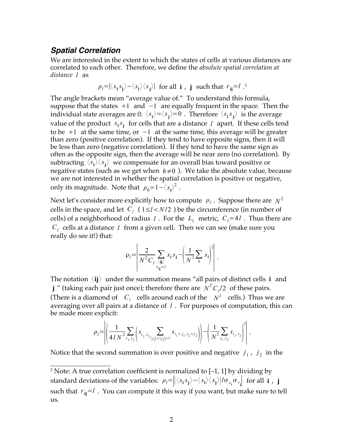#### *Spatial Correlation*

We are interested in the extent to which the states of cells at various distances are correlated to each other. Therefore, we define the *absolute spatial correlation at distance l* as

$$
\rho_l = |\langle s_i s_j \rangle - \langle s_i \rangle \langle s_j \rangle|
$$
 for all **i**, **j** such that  $r_{ij} = l$ .

The angle brackets mean "average value of." To understand this formula, suppose that the states  $+1$  and  $-1$  are equally frequent in the space. Then the individual state averages are  $0: \langle s_i \rangle = \langle s_j \rangle = 0$  . Therefore  $\langle s_i s_j \rangle$  is the average value of the product  $s_i s_j$  for cells that are a distance *l* apart. If these cells tend to be  $+1$  at the same time, or  $-1$  at the same time, this average will be greater than zero (positive correlation). If they tend to have opposite signs, then it will be less than zero (negative correlation). If they tend to have the same sign as often as the opposite sign, then the average will be near zero (no correlation). By subtracting  $\langle s_i \rangle \langle s_j \rangle$  we compensate for an overall bias toward positive or negative states (such as we get when  $h \neq 0$ ). We take the absolute value, because we are not interested in whether the spatial correlation is positive or negative, only its magnitude. Note that  $\rho_0 = 1 - \langle s_i \rangle^2$ .

Next let's consider more explicitly how to compute  $\rho_l$ . Suppose there are  $N^2$ cells in the space, and let  $C_l$  ( $1 \le l < N/2$ ) be the circumference (in number of cells) of a neighborhood of radius *l* . For the  $L_1$  metric,  $C_l = 4l$  . Thus there are  $C_l$  cells at a distance *l* from a given cell. Then we can see (make sure you really do see it!) that:

$$
\rho_l = \left| \frac{2}{N^2 C_l} \sum_{\substack{\langle ij \rangle \\ r_{ij} = l}} s_i s_j - \left( \frac{1}{N^2} \sum_i s_i \right)^2 \right|.
$$

The notation 〈**ij**〉 under the summation means "all pairs of distinct cells **i** and **j** " (taking each pair just once); therefore there are  $N^2 C_l/2$  of these pairs. (There is a diamond of  $C_l$  cells around each of the  $N^2$  cells.) Thus we are averaging over all pairs at a distance of *l* . For purposes of computation, this can be made more explicit:

$$
\rho_{l} = \left| \left( \frac{1}{4 N^2} \sum_{i_1, i_2} \left( s_{i_1, i_2} \sum_{|j_1|+|j_2|=l} s_{i_1+j_1, i_2+j_2} \right) \right) - \left( \frac{1}{N^2} \sum_{i_1, i_2} s_{i_1, i_2} \right)^2 \right|.
$$

Notice that the second summation is over positive and negative  $j_1$ ,  $j_2$  in the

<sup>&</sup>lt;sup>2</sup> Note: A true correlation coefficient is normalized to  $[-1, 1]$  by dividing by standard deviations of the variables:  $\rho_l = \left| \left( \langle s_i s_j \rangle - \langle s_i \rangle \langle s_j \rangle \right| / \sigma_{s_i} \sigma_{s_j} \right|$  for all **i**, **j** such that  $r_{ii} = l$ . You can compute it this way if you want, but make sure to tell us.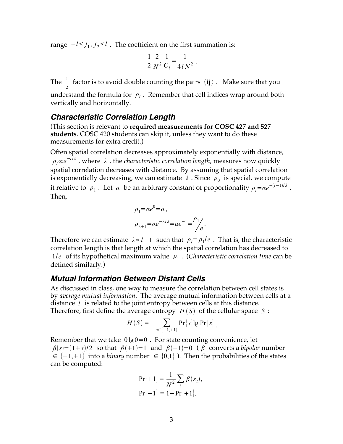range −*l*≤ *j* <sup>1</sup> *, j* <sup>2</sup>≤*l* . The coefficient on the first summation is:

$$
\frac{1}{2} \frac{2}{N^2} \frac{1}{C_l} = \frac{1}{4/N^2} .
$$

The  $\frac{1}{2}$  factor is to avoid double counting the pairs  $\langle ij \rangle$  . Make sure that you understand the formula for  $\rho$ <sup>*l*</sup> . Remember that cell indices wrap around both vertically and horizontally.

#### *Characteristic Correlation Length*

(This section is relevant to **required measurements for COSC 427 and 527 students**. COSC 420 students can skip it, unless they want to do these measurements for extra credit.)

Often spatial correlation decreases approximately exponentially with distance, *ρ*<sub>*l*</sub>∝*e*<sup>−*l*</sup><sup>*λ*</sup> , where *λ* , the *characteristic correlation length*, measures how quickly spatial correlation decreases with distance. By assuming that spatial correlation is exponentially decreasing, we can estimate  $\lambda$  . Since  $\rho_0$  is special, we compute it relative to  $\rho_1$ . Let  $\alpha$  be an arbitrary constant of proportionality  $\rho_l = \alpha e^{-(l-1)/\lambda}$ . Then,

$$
\rho_1 = \alpha e^0 = \alpha,
$$
  

$$
\rho_{\lambda+1} = \alpha e^{-\lambda/\lambda} = \alpha e^{-1} = \frac{\rho_1}{e}
$$

.

Therefore we can estimate  $\lambda \approx l-1$  such that  $\rho_l = \rho_l/e$  . That is, the characteristic correlation length is that length at which the spatial correlation has decreased to 1/*e* of its hypothetical maximum value *ρ*<sup>1</sup> . (*Characteristic correlation time* can be defined similarly.)

#### *Mutual Information Between Distant Cells*

As discussed in class, one way to measure the correlation between cell states is by *average mutual information*. The average mutual information between cells at a distance *l* is related to the joint entropy between cells at this distance. Therefore, first define the average entropy  $H(S)$  of the cellular space  $S$ :

$$
H(S) = -\sum_{s \in \{-1, +1\}} \Pr[s] \lg \Pr[s] .
$$

Remember that we take  $0 \lg 0 = 0$ . For state counting convenience, let  $\beta(s)=(1+s)/2$  so that  $\beta(+1)=1$  and  $\beta(-1)=0$  ( $\beta$  converts a *bipolar* number ∈  $\{-1,+1\}$  into a *binary* number ∈  $\{0,1\}$ ). Then the probabilities of the states can be computed:

$$
\Pr\left[+1\right] = \frac{1}{N^2} \sum_{i} \beta(s_i),
$$
  

$$
\Pr\left[-1\right] = 1 - \Pr\left[+1\right].
$$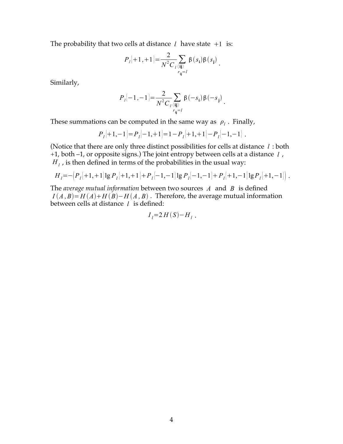The probability that two cells at distance  $l$  have state  $+1$  is:

$$
P_{l}[+1,+1]=\frac{2}{N^{2}C_{l}\langle \mathbf{i}\mathbf{j}\rangle} \beta(s_{\mathbf{i}})\beta(s_{\mathbf{j}}).
$$

Similarly,

$$
P_{l}[-1,-1] = \frac{2}{N^{2}C_{l}\langle\mathbf{i}\mathbf{j}\rangle} \beta(-s_{\mathbf{i}}) \beta(-s_{\mathbf{j}}).
$$

These summations can be computed in the same way as  $\rho_l$ . Finally,

$$
P_{l}[+1,-1] = P_{l}[-1,+1] = 1 - P_{l}[+1,+1] - P_{l}[-1,-1].
$$

(Notice that there are only three distinct possibilities for cells at distance *l* : both +1, both –1, or opposite signs.) The joint entropy between cells at a distance *l* ,  $H_l$ , is then defined in terms of the probabilities in the usual way:

$$
H_{l} = -\left(P_{l} + 1, +1\right) \lg P_{l} + 1, + 1\right) + P_{l} - 1, -1\left[ \lg P_{l} - 1, -1\right] + P_{l} + 1, -1\left[ \lg P_{l} + 1, -1\right] \right].
$$

The *average mutual information* between two sources *A* and *B* is defined  $I(A, B) = H(A) + H(B) - H(A, B)$ . Therefore, the average mutual information between cells at distance *l* is defined:

$$
I_l=2H(S)-H_l.
$$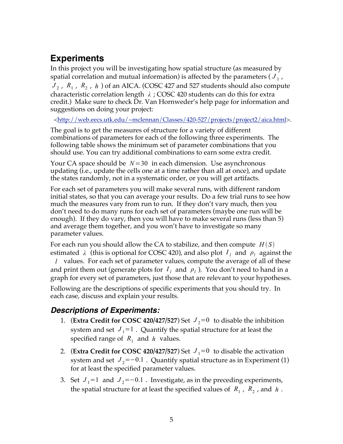# **Experiments**

In this project you will be investigating how spatial structure (as measured by spatial correlation and mutual information) is affected by the parameters  $(J_1, J_2)$  $J_2$ ,  $R_1$ ,  $R_2$ ,  $h$  of an AICA. (COSC 427 and 527 students should also compute characteristic correlation length *λ* ; COSC 420 students can do this for extra credit.) Make sure to check Dr. Van Hornweder's help page for information and suggestions on doing your project:

<http://web.eecs.utk.edu/~mclennan/Classes/420-527/projects/project2/aica.html>.

The goal is to get the measures of structure for a variety of different combinations of parameters for each of the following three experiments. The following table shows the minimum set of parameter combinations that you should use. You can try additional combinations to earn some extra credit.

Your CA space should be *N*=30 in each dimension. Use asynchronous updating (i.e., update the cells one at a time rather than all at once), and update the states randomly, not in a systematic order, or you will get artifacts.

For each set of parameters you will make several runs, with different random initial states, so that you can average your results. Do a few trial runs to see how much the measures vary from run to run. If they don't vary much, then you don't need to do many runs for each set of parameters (maybe one run will be enough). If they do vary, then you will have to make several runs (less than 5) and average them together, and you won't have to investigate so many parameter values.

For each run you should allow the CA to stabilize, and then compute  $H(S)$ estimated  $\lambda$  (this is optional for COSC 420), and also plot  $I_i$  and  $\rho_i$  against the *l* values. For each set of parameter values, compute the average of all of these and print them out (generate plots for  $I_l$  and  $\rho_l$ ). You don't need to hand in a graph for every set of parameters, just those that are relevant to your hypotheses.

Following are the descriptions of specific experiments that you should try. In each case, discuss and explain your results.

## *Descriptions of Experiments:*

- 1. (**Extra Credit for COSC 420/427/527**) Set  $J_2=0$  to disable the inhibition system and set  $J_1=1$ . Quantify the spatial structure for at least the specified range of  $R_1$  and  $h$  values.
- 2. (**Extra Credit for COSC 420/427/527**) Set  $J_1=0$  to disable the activation system and set  $J_2$ =−0.1 . Quantify spatial structure as in Experiment (1) for at least the specified parameter values.
- 3. Set  $J_1=1$  and  $J_2=-0.1$ . Investigate, as in the preceding experiments, the spatial structure for at least the specified values of  $R_1$ ,  $R_2$ , and  $h$ .